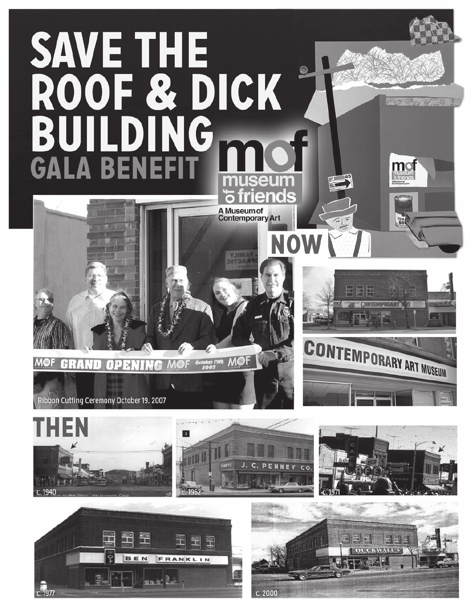



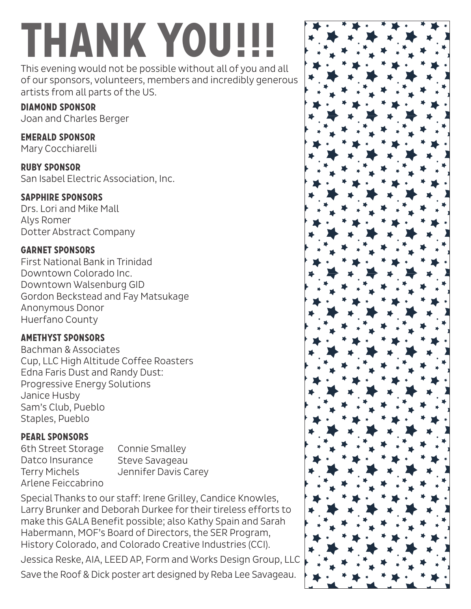# **Thank you!!!**

This evening would not be possible without all of you and all of our sponsors, volunteers, members and incredibly generous artists from all parts of the US.

# **Diamond Sponsor**

Joan and Charles Berger

## **Emerald Sponsor**

Mary Cocchiarelli

**Ruby Sponsor** San Isabel Electric Association, Inc.

## **Sapphire Sponsors**

Drs. Lori and Mike Mall Alys Romer Dotter Abstract Company

# **Garnet Sponsors**

First National Bank in Trinidad Downtown Colorado Inc. Downtown Walsenburg GID Gordon Beckstead and Fay Matsukage Anonymous Donor Huerfano County

# **Amethyst Sponsors**

Bachman & Associates Cup, LLC High Altitude Coffee Roasters Edna Faris Dust and Randy Dust: Progressive Energy Solutions Janice Husby Sam's Club, Pueblo Staples, Pueblo

# **Pearl sponsors**

6th Street Storage Datco Insurance Terry Michels Arlene Feiccabrino

Connie Smalley Steve Savageau Jennifer Davis Carey

Special Thanks to our staff: Irene Grilley, Candice Knowles, Larry Brunker and Deborah Durkee for their tireless efforts to make this GALA Benefit possible; also Kathy Spain and Sarah Habermann, MOF's Board of Directors, the SER Program, History Colorado, and Colorado Creative Industries (CCI).

Jessica Reske, AIA, LEED AP, Form and Works Design Group, LLC Save the Roof & Dick poster art designed by Reba Lee Savageau.

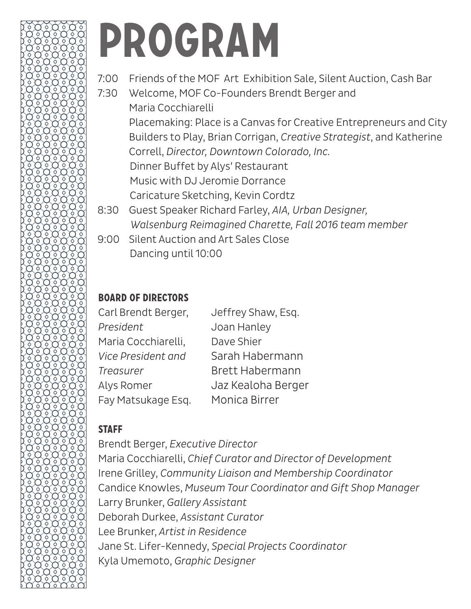# **Program**

- 7:00 Friends of the MOF Art Exhibition Sale, Silent Auction, Cash Bar
- 7:30 Welcome, MOF Co-Founders Brendt Berger and Maria Cocchiarelli Placemaking: Place is a Canvas for Creative Entrepreneurs and City Builders to Play, Brian Corrigan, *Creative Strategist*, and Katherine Correll, *Director, Downtown Colorado, Inc.* Dinner Buffet by Alys' Restaurant Music with DJ Jeromie Dorrance Caricature Sketching, Kevin Cordtz 8:30 Guest Speaker Richard Farley, *AIA, Urban Designer,*
- *Walsenburg Reimagined Charette, Fall 2016 team member*
- 9:00 Silent Auction and Art Sales Close Dancing until 10:00

# **Board of Directors**

| Carl Brendt Berger, | Jeffrey Shaw, Esq.     |
|---------------------|------------------------|
| President           | Joan Hanley            |
| Maria Cocchiarelli, | Dave Shier             |
| Vice President and  | Sarah Habermann        |
| Treasurer           | <b>Brett Habermann</b> |
| Alys Romer          | Jaz Kealoha Berger     |
| Fay Matsukage Esq.  | Monica Birrer          |

# **Staff**

Brendt Berger, *Executive Director* Maria Cocchiarelli, *Chief Curator and Director of Development* Irene Grilley, *Community Liaison and Membership Coordinator* Candice Knowles, *Museum Tour Coordinator and Gift Shop Manager* Larry Brunker, *Gallery Assistant* Deborah Durkee, *Assistant Curator* Lee Brunker, *Artist in Residence* Jane St. Lifer-Kennedy, *Special Projects Coordinator* Kyla Umemoto, *Graphic Designer*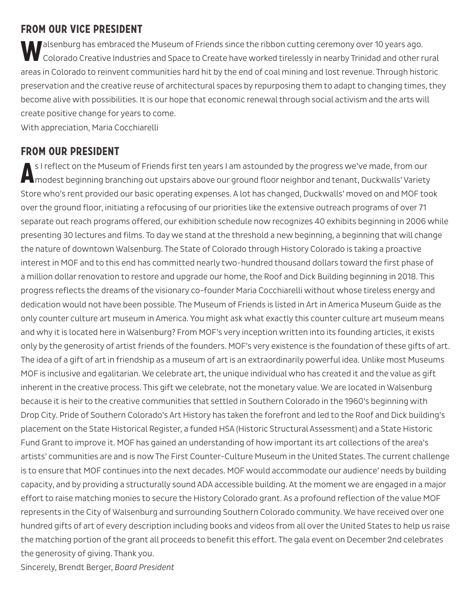## **From our Vice President**

**Malsenburg has embraced the Museum of Friends since the ribbon cutting ceremony over 10 years ago.** Colorado Creative Industries and Space to Create have worked tirelessly in nearby Trinidad and other rural areas in Colorado to reinvent communities hard hit by the end of coal mining and lost revenue. Through historic preservation and the creative reuse of architectural spaces by repurposing them to adapt to changing times, they become alive with possibilities. It is our hope that economic renewal through social activism and the arts will create positive change for years to come.

With appreciation, Maria Cocchiarelli

## **From our President**

**A**s I reflect on the Museum of Friends first ten years I am astounded by the progress we've made, from our modest beginning branching out upstairs above our ground floor neighbor and tenant, Duckwalls' Variety Store who's rent provided our basic operating expenses. A lot has changed, Duckwalls' moved on and MOF took over the ground floor, initiating a refocusing of our priorities like the extensive outreach programs of over 71 separate out reach programs offered, our exhibition schedule now recognizes 40 exhibits beginning in 2006 while presenting 30 lectures and films. To day we stand at the threshold a new beginning, a beginning that will change the nature of downtown Walsenburg. The State of Colorado through History Colorado is taking a proactive interest in MOF and to this end has committed nearly two-hundred thousand dollars toward the first phase of a million dollar renovation to restore and upgrade our home, the Roof and Dick Building beginning in 2018. This progress reflects the dreams of the visionary co-founder Maria Cocchiarelli without whose tireless energy and dedication would not have been possible. The Museum of Friends is listed in Art in America Museum Guide as the only counter culture art museum in America. You might ask what exactly this counter culture art museum means and why it is located here in Walsenburg? From MOF's very inception written into its founding articles, it exists only by the generosity of artist friends of the founders. MOF's very existence is the foundation of these gifts of art. The idea of a gift of art in friendship as a museum of art is an extraordinarily powerful idea. Unlike most Museums MOF is inclusive and egalitarian. We celebrate art, the unique individual who has created it and the value as gift inherent in the creative process. This gift we celebrate, not the monetary value. We are located in Walsenburg because it is heir to the creative communities that settled in Southern Colorado in the 1960's beginning with Drop City. Pride of Southern Colorado's Art History has taken the forefront and led to the Roof and Dick building's placement on the State Historical Register, a funded HSA (Historic Structural Assessment) and a State Historic Fund Grant to improve it. MOF has gained an understanding of how important its art collections of the area's artists' communities are and is now The First Counter-Culture Museum in the United States. The current challenge is to ensure that MOF continues into the next decades. MOF would accommodate our audience' needs by building capacity, and by providing a structurally sound ADA accessible building. At the moment we are engaged in a major effort to raise matching monies to secure the History Colorado grant. As a profound reflection of the value MOF represents in the City of Walsenburg and surrounding Southern Colorado community. We have received over one hundred gifts of art of every description including books and videos from all over the United States to help us raise the matching portion of the grant all proceeds to benefit this effort. The gala event on December 2nd celebrates the generosity of giving. Thank you. Sincerely, Brendt Berger, *Board President*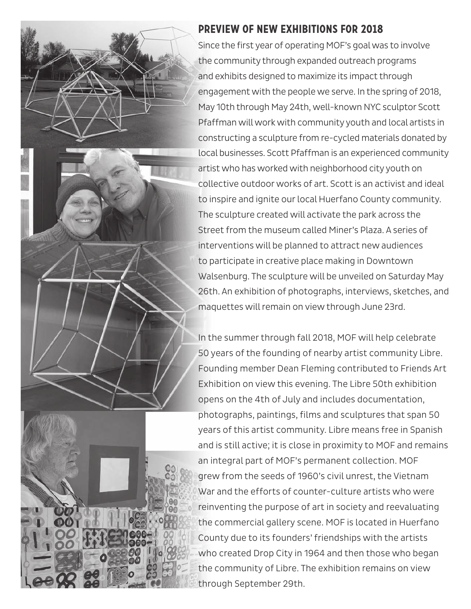

## **Preview of New Exhibitions for 2018**

Since the first year of operating MOF's goal was to involve the community through expanded outreach programs and exhibits designed to maximize its impact through engagement with the people we serve. In the spring of 2018, May 10th through May 24th, well-known NYC sculptor Scott Pfaffman will work with community youth and local artists in constructing a sculpture from re-cycled materials donated by local businesses. Scott Pfaffman is an experienced community artist who has worked with neighborhood city youth on collective outdoor works of art. Scott is an activist and ideal to inspire and ignite our local Huerfano County community. The sculpture created will activate the park across the Street from the museum called Miner's Plaza. A series of interventions will be planned to attract new audiences to participate in creative place making in Downtown Walsenburg. The sculpture will be unveiled on Saturday May 26th. An exhibition of photographs, interviews, sketches, and maquettes will remain on view through June 23rd.

In the summer through fall 2018, MOF will help celebrate 50 years of the founding of nearby artist community Libre. Founding member Dean Fleming contributed to Friends Art Exhibition on view this evening. The Libre 50th exhibition opens on the 4th of July and includes documentation, photographs, paintings, films and sculptures that span 50 years of this artist community. Libre means free in Spanish and is still active; it is close in proximity to MOF and remains an integral part of MOF's permanent collection. MOF grew from the seeds of 1960's civil unrest, the Vietnam War and the efforts of counter-culture artists who were reinventing the purpose of art in society and reevaluating the commercial gallery scene. MOF is located in Huerfano County due to its founders' friendships with the artists who created Drop City in 1964 and then those who began the community of Libre. The exhibition remains on view through September 29th.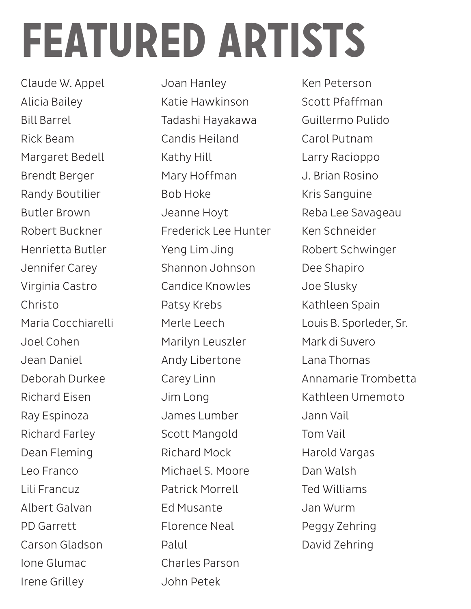# **featured artists**

Claude W. Appel Alicia Bailey Bill Barrel Rick Beam Margaret Bedell Brendt Berger Randy Boutilier Butler Brown Robert Buckner Henrietta Butler Jennifer Carey Virginia Castro Christo Maria Cocchiarelli Joel Cohen Jean Daniel Deborah Durkee Richard Eisen Ray Espinoza Richard Farley Dean Fleming Leo Franco Lili Francuz Albert Galvan PD Garrett Carson Gladson Ione Glumac Irene Grilley

Joan Hanley Katie Hawkinson Tadashi Hayakawa Candis Heiland Kathy Hill Mary Hoffman Bob Hoke Jeanne Hoyt Frederick Lee Hunter Yeng Lim Jing Shannon Johnson Candice Knowles Patsy Krebs Merle Leech Marilyn Leuszler Andy Libertone Carey Linn Jim Long James Lumber Scott Mangold Richard Mock Michael S. Moore Patrick Morrell Ed Musante Florence Neal Palul Charles Parson John Petek

Ken Peterson Scott Pfaffman Guillermo Pulido Carol Putnam Larry Racioppo J. Brian Rosino Kris Sanguine Reba Lee Savageau Ken Schneider Robert Schwinger Dee Shapiro Joe Slusky Kathleen Spain Louis B. Sporleder, Sr. Mark di Suvero Lana Thomas Annamarie Trombetta Kathleen Umemoto Jann Vail Tom Vail Harold Vargas Dan Walsh Ted Williams Jan Wurm Peggy Zehring David Zehring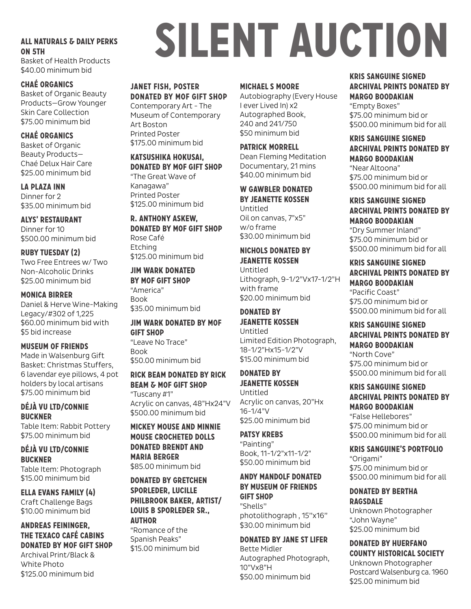## **All Naturals & Daily Perks on 5th**

Basket of Health Products \$40.00 minimum bid

## **ChaÉ Organics**

Basket of Organic Beauty Products—Grow Younger Skin Care Collection \$75.00 minimum bid

## **ChaÉ Organics**

Basket of Organic Beauty Products— Chaé Delux Hair Care \$25.00 minimum bid

**La Plaza Inn** Dinner for 2 \$35.00 minimum bid

**Alys' Restaurant** Dinner for 10 \$500.00 minimum bid

## **Ruby Tuesday (2)**

Two Free Entrees w/ Two Non-Alcoholic Drinks \$25.00 minimum bid

#### **Monica Birrer**

Daniel & Herve Wine-Making Legacy/#302 of 1,225 \$60.00 minimum bid with \$5 bid increase

## **Museum of Friends**

Made in Walsenburg Gift Basket: Christmas Stuffers, 6 lavendar eye pillows, 4 pot holders by local artisans \$75.00 minimum bid

## **Déjà Vu Ltd/Connie Buckner**

Table Item: Rabbit Pottery \$75.00 minimum bid

**Déjà Vu Ltd/Connie Buckner** Table Item: Photograph \$15.00 minimum bid

**Ella Evans Family (4)** Craft Challenge Bags \$10.00 minimum bid

## **Andreas Feininger, The Texaco Café Cabins donated by mof Gift Shop** Archival Print/Black & White Photo \$125.00 minimum bid

# **silent auction**

## **janet fish, Poster donated by mof Gift Shop**

Contemporary Art - The Museum of Contemporary Art Boston Printed Poster \$175.00 minimum bid

## **Katsushika Hokusai, donated by mof Gift Shop**

"The Great Wave of Kanagawa" Printed Poster \$125.00 minimum bid

**R. Anthony Askew, donated by mof Gift Shop** Rose Café Etching \$125.00 minimum bid

## **Jim Wark donated by mof Gift Shop**

"America" Book \$35.00 minimum bid

## **Jim Wark donated by mof Gift Shop** "Leave No Trace"

Book \$50.00 minimum bid

## **Rick Beam donated by rick beam & mof gift shop** "Tuscany #1" Acrylic on canvas, 48"Hx24"V \$500.00 minimum bid

**Mickey Mouse and Minnie Mouse Crocheted Dolls donated Brendt and Maria Berger**

\$85.00 minimum bid

### **donated by gretchen sporleder, Lucille Philbrook Baker, artist/ Louis B Sporleder Sr., author**

"Romance of the Spanish Peaks" \$15.00 minimum bid

### **Michael S Moore**

Autobiography (Every House I ever Lived In) x2 Autographed Book, 240 and 241/750 \$50 minimum bid

### **Patrick Morrell**

Dean Fleming Meditation Documentary, 21 mins \$40.00 minimum bid

## **W Gawbler donated by Jeanette Kossen** Untitled Oil on canvas, 7"x5" w/o frame

\$30.00 minimum bid

#### **Nichols donated by Jeanette Kossen**

Untitled Lithograph, 9-1/2"Vx17-1/2"H with frame \$20.00 minimum bid

## **donated by Jeanette Kossen**

Untitled Limited Edition Photograph, 18-1/2"Hx15-1/2"V \$15.00 minimum bid

## **donated by Jeanette Kossen**

Untitled Acrylic on canvas, 20"Hx 16-1/4"V \$25.00 minimum bid

#### **Patsy Krebs** "Painting" Book, 11-1/2"x11-1/2" \$50.00 minimum bid

**Andy Mandolf Donated by Museum of Friends Gift Shop** "Shells''

photolithograph , 15''x16'' \$30.00 minimum bid

#### **donated by Jane St Lifer** Bette Midler Autographed Photograph, 10"Vx8"H \$50.00 minimum bid

## **Kris Sanguine signed archival prints donated by margo boodakian**

"Empty Boxes" \$75.00 minimum bid or \$500.00 minimum bid for all

#### **Kris Sanguine signed archival prints donated by margo boodakian** "Near Altoona" \$75.00 minimum bid or \$500.00 minimum bid for all

## **Kris Sanguine signed archival prints donated by margo boodakian** "Dry Summer Inland"

\$75.00 minimum bid or \$500.00 minimum bid for all

### **Kris Sanguine signed archival prints donated by margo boodakian** "Pacific Coast" \$75.00 minimum bid or \$500.00 minimum bid for all

#### **Kris Sanguine signed archival prints donated by margo boodakian** "North Cove"

\$75.00 minimum bid or \$500.00 minimum bid for all

## **Kris Sanguine signed archival prints donated by margo boodakian**

"False Hellebores" \$75.00 minimum bid or \$500.00 minimum bid for all

## **Kris Sanguine's Portfolio**

"Origami" \$75.00 minimum bid or \$500.00 minimum bid for all

#### **donated by bertha ragsdale**

Unknown Photographer "John Wayne" \$25.00 minimum bid

## **donated by huerfano county historical society** Unknown Photographer Postcard Walsenburg ca. 1960 \$25.00 minimum bid